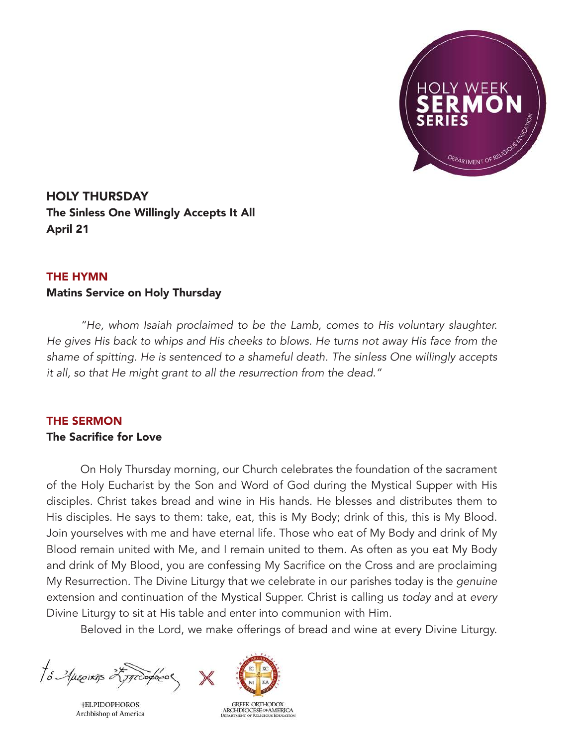

HOLY THURSDAY The Sinless One Willingly Accepts It All April 21

## THE HYMN

## Matins Service on Holy Thursday

*"He, whom Isaiah proclaimed to be the Lamb, comes to His voluntary slaughter. He gives His back to whips and His cheeks to blows. He turns not away His face from the shame of spitting. He is sentenced to a shameful death. The sinless One willingly accepts it all, so that He might grant to all the resurrection from the dead."*

## THE SERMON The Sacrifice for Love

On Holy Thursday morning, our Church celebrates the foundation of the sacrament of the Holy Eucharist by the Son and Word of God during the Mystical Supper with His disciples. Christ takes bread and wine in His hands. He blesses and distributes them to His disciples. He says to them: take, eat, this is My Body; drink of this, this is My Blood. Join yourselves with me and have eternal life. Those who eat of My Body and drink of My Blood remain united with Me, and I remain united to them. As often as you eat My Body and drink of My Blood, you are confessing My Sacrifice on the Cross and are proclaiming My Resurrection. The Divine Liturgy that we celebrate in our parishes today is the *genuine* extension and continuation of the Mystical Supper. Christ is calling us *today* and at *every* Divine Liturgy to sit at His table and enter into communion with Him.

Beloved in the Lord, we make offerings of bread and wine at every Divine Liturgy.

To Aprovins 25 productor

**†ELPIDOPHOROS** Archbishop of America